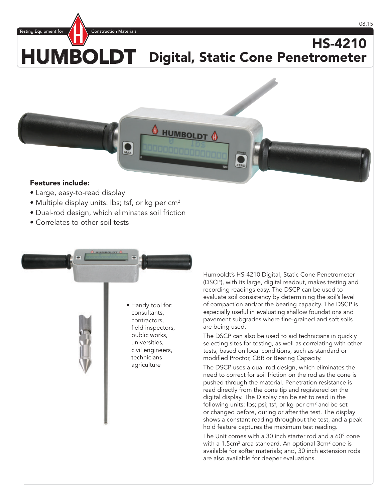Testing Equipment for  $\mathcal{L}$   $\blacksquare$  Construction Materials

## HUMBOLDT HS-4210 Digital, Static Cone Penetrometer



## Features include:

- Large, easy-to-read display
- Multiple display units: lbs; tsf, or kg per  $cm<sup>2</sup>$
- Dual-rod design, which eliminates soil friction
- Correlates to other soil tests

• Handy tool for: consultants, contractors, field inspectors, public works, universities, civil engineers, technicians agriculture

Humboldt's HS-4210 Digital, Static Cone Penetrometer (DSCP), with its large, digital readout, makes testing and recording readings easy. The DSCP can be used to evaluate soil consistency by determining the soil's level of compaction and/or the bearing capacity. The DSCP is especially useful in evaluating shallow foundations and pavement subgrades where fine-grained and soft soils are being used.

The DSCP can also be used to aid technicians in quickly selecting sites for testing, as well as correlating with other tests, based on local conditions, such as standard or modified Proctor, CBR or Bearing Capacity.

The DSCP uses a dual-rod design, which eliminates the need to correct for soil friction on the rod as the cone is pushed through the material. Penetration resistance is read directly from the cone tip and registered on the digital display. The Display can be set to read in the following units: lbs; psi; tsf, or kg per  $cm<sup>2</sup>$  and be set or changed before, during or after the test. The display shows a constant reading throughout the test, and a peak hold feature captures the maximum test reading.

The Unit comes with a 30 inch starter rod and a 60° cone with a 1.5cm<sup>2</sup> area standard. An optional 3cm<sup>2</sup> cone is available for softer materials; and, 30 inch extension rods are also available for deeper evaluations.